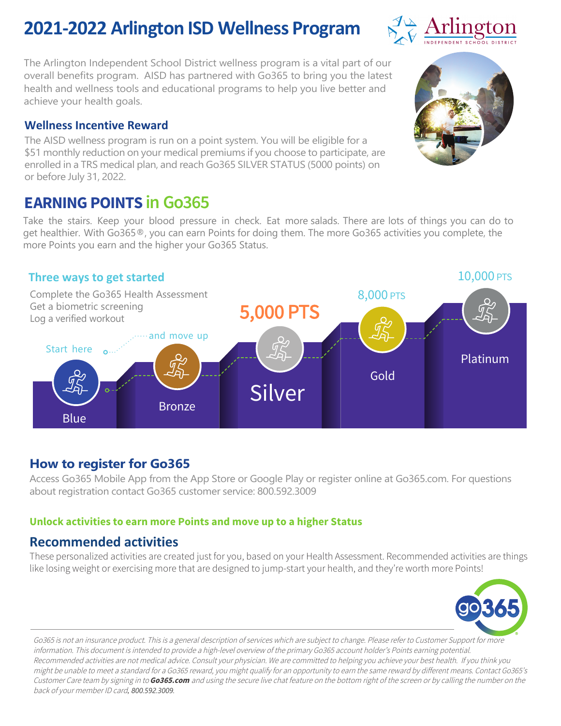### **2021-2022 Arlington ISD Wellness Program**

The Arlington Independent School District wellness program is a vital part of our overall benefits program. AISD has partnered with Go365 to bring you the latest health and wellness tools and educational programs to help you live better and achieve your health goals.

#### **Wellness Incentive Reward**

The AISD wellness program is run on a point system. You will be eligible for a \$51 monthly reduction on your medical premiums if you choose to participate, are enrolled in a TRS medical plan, and reach Go365 SILVER STATUS (5000 points) on or before July 31, 2022.

### **EARNING POINTS in Go365**

Take the stairs. Keep your blood pressure in check. Eat more salads. There are lots of things you can do to get healthier. With Go365®, you can earn Points for doing them. The more Go365 activities you complete, the more Points you earn and the higher your Go365 Status.

#### **Three ways to get started**

Platinum Gold Silver Bronze Blue 8,000 PTS Complete the Go365 Health Assessment Get a biometric screening Log a verified workout *A* and move up 5,000 PTS Start here  $_{\text{o}}...$ 

#### **How to register for Go365**

Access Go365 Mobile App from the App Store or Google Play or register online at Go365.com. For questions about registration contact Go365 customer service: 800.592.3009

#### **Unlock activities to earn more Points and move up to a higher Status**

#### **Recommended activities**

These personalized activities are created just for you, based on your Health Assessment. Recommended activities are things like losing weight or exercising more that are designed to jump-start your health, and they're worth more Points!









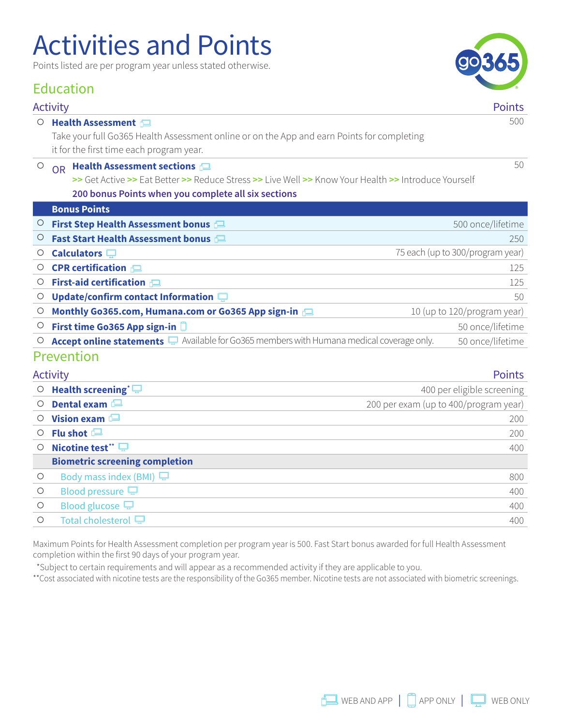## Activities and Points

Points listed are per program year unless stated otherwise.

#### Education

#### Activity Points

#### O **Health Assessment**

Take your full Go365 Health Assessment online or on the App and earn Points for completing it for the first time each program year.

#### **O** OR **Health Assessment sections**

**>>** Get Active **>>** Eat Better **>>** Reduce Stress **>>** Live Well **>>** Know Your Health **>>** Introduce Yourself **200 bonus Points when you complete all six sections**

|         | <b>Bonus Points</b>                                                                            |                                  |
|---------|------------------------------------------------------------------------------------------------|----------------------------------|
| $\cup$  | First Step Health Assessment bonus                                                             | 500 once/lifetime                |
| $\circ$ | Fast Start Health Assessment bonus                                                             | 250                              |
| Ő       | Calculators $\square$                                                                          | 75 each (up to 300/program year) |
| Ő       | <b>CPR</b> certification $\Box$                                                                | 125                              |
| Ő       | First-aid certification                                                                        | 125                              |
| Ő       | Update/confirm contact Information $\square$                                                   | 50                               |
| O       | Monthly Go365.com, Humana.com or Go365 App sign-in                                             | 10 (up to 120/program year)      |
| O       | First time Go365 App sign-in                                                                   | 50 once/lifetime                 |
| O       | Accept online statements $\Box$ Available for Go365 members with Humana medical coverage only. | 50 once/lifetime                 |
|         | Prevention                                                                                     |                                  |

| <b>Activity</b>                       | <b>Points</b>                         |
|---------------------------------------|---------------------------------------|
| Health screening $\Box$               | 400 per eligible screening            |
| Dental exam                           | 200 per exam (up to 400/program year) |
| Vision exam $\blacksquare$            | 200                                   |
| Flu shot $\Box$                       | 200                                   |
| Nicotine test* $\Box$                 | 400                                   |
| <b>Biometric screening completion</b> |                                       |
| Body mass index (BMI) $\Box$          | 800                                   |
| Blood pressure $\Box$                 | 400                                   |
| Blood glucose $\Box$                  | 400                                   |
| Total cholesterol $\Box$              | 400                                   |
|                                       |                                       |

Maximum Points for Health Assessment completion per program year is 500. Fast Start bonus awarded for full Health Assessment completion within the first 90 days of your program year.

\*Subject to certain requirements and will appear as a recommended activity if they are applicable to you.

\*\*Cost associated with nicotine tests are the responsibility of the Go365 member. Nicotine tests are not associated with biometric screenings.



500

50